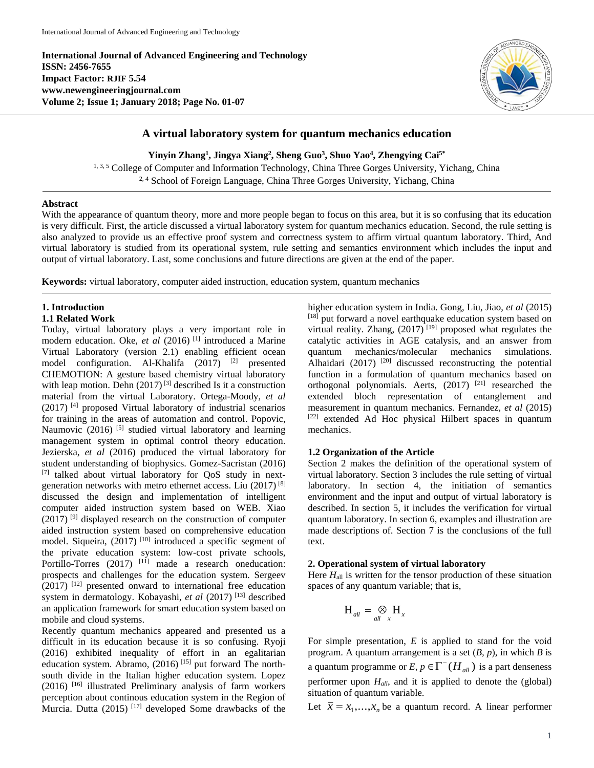**International Journal of Advanced Engineering and Technology ISSN: 2456-7655 Impact Factor: RJIF 5.54 www.newengineeringjournal.com Volume 2; Issue 1; January 2018; Page No. 01-07**



# **A virtual laboratory system for quantum mechanics education**

**Yinyin Zhang<sup>1</sup> , Jingya Xiang<sup>2</sup> , Sheng Guo<sup>3</sup> , Shuo Yao<sup>4</sup> , Zhengying Cai5\***

1, 3, 5 College of Computer and Information Technology, China Three Gorges University, Yichang, China <sup>2, 4</sup> School of Foreign Language, China Three Gorges University, Yichang, China

# **Abstract**

With the appearance of quantum theory, more and more people began to focus on this area, but it is so confusing that its education is very difficult. First, the article discussed a virtual laboratory system for quantum mechanics education. Second, the rule setting is also analyzed to provide us an effective proof system and correctness system to affirm virtual quantum laboratory. Third, And virtual laboratory is studied from its operational system, rule setting and semantics environment which includes the input and output of virtual laboratory. Last, some conclusions and future directions are given at the end of the paper.

**Keywords:** virtual laboratory, computer aided instruction, education system, quantum mechanics

# **1. Introduction**

## **1.1 Related Work**

Today, virtual laboratory plays a very important role in modern education. Oke, *et al* (2016)<sup>[1]</sup> introduced a Marine Virtual Laboratory (version 2.1) enabling efficient ocean model configuration. Al-Khalifa (2017) [2] presented CHEMOTION: A gesture based chemistry virtual laboratory with leap motion. Dehn  $(2017)^{[3]}$  described Is it a construction material from the virtual Laboratory. Ortega-Moody, *et al*  $(2017)$ <sup>[4]</sup> proposed Virtual laboratory of industrial scenarios for training in the areas of automation and control. Popovic, Naumovic (2016)<sup>[5]</sup> studied virtual laboratory and learning management system in optimal control theory education. Jezierska, *et al* (2016) produced the virtual laboratory for student understanding of biophysics. Gomez-Sacristan (2016) [7] talked about virtual laboratory for QoS study in nextgeneration networks with metro ethernet access. Liu (2017) [8] discussed the design and implementation of intelligent computer aided instruction system based on WEB. Xiao  $(2017)$ <sup>[9]</sup> displayed research on the construction of computer aided instruction system based on comprehensive education model. Siqueira, (2017)<sup>[10]</sup> introduced a specific segment of the private education system: low-cost private schools, Portillo-Torres (2017) <sup>[11]</sup> made a research oneducation: prospects and challenges for the education system. Sergeev  $(2017)$ <sup>[12]</sup> presented onward to international free education system in dermatology. Kobayashi, *et al* (2017) [13] described an application framework for smart education system based on mobile and cloud systems.

Recently quantum mechanics appeared and presented us a difficult in its education because it is so confusing. Ryoji (2016) exhibited inequality of effort in an egalitarian education system. Abramo,  $(2016)$ <sup>[15]</sup> put forward The northsouth divide in the Italian higher education system. Lopez (2016) [16] illustrated Preliminary analysis of farm workers perception about continous education system in the Region of Murcia. Dutta (2015)  $^{[17]}$  developed Some drawbacks of the

higher education system in India. Gong, Liu, Jiao, *et al* (2015) [18] put forward a novel earthquake education system based on virtual reality. Zhang,  $(2017)$ <sup>[19]</sup> proposed what regulates the catalytic activities in AGE catalysis, and an answer from quantum mechanics/molecular mechanics simulations. Alhaidari  $(2017)$ <sup>[20]</sup> discussed reconstructing the potential function in a formulation of quantum mechanics based on orthogonal polynomials. Aerts,  $(2017)$ <sup>[21]</sup> researched the extended bloch representation of entanglement and measurement in quantum mechanics. Fernandez, *et al* (2015) [22] extended Ad Hoc physical Hilbert spaces in quantum mechanics.

# **1.2 Organization of the Article**

Section 2 makes the definition of the operational system of virtual laboratory. Section 3 includes the rule setting of virtual laboratory. In section 4, the initiation of semantics environment and the input and output of virtual laboratory is described. In section 5, it includes the verification for virtual quantum laboratory. In section 6, examples and illustration are made descriptions of. Section 7 is the conclusions of the full text.

#### **2. Operational system of virtual laboratory**

Here  $H_{all}$  is written for the tensor production of these situation spaces of any quantum variable; that is,

$$
H_{all} = \bigotimes_{all} H_x
$$

For simple presentation, *E* is applied to stand for the void program. A quantum arrangement is a set (*B, p*), in which *B* is a quantum programme or  $E, p \in \Gamma^{-}(H_{all})$  is a part denseness performer upon *Hall*, and it is applied to denote the (global) situation of quantum variable.

Let  $\bar{x} = x_1,...,x_n$  be a quantum record. A linear performer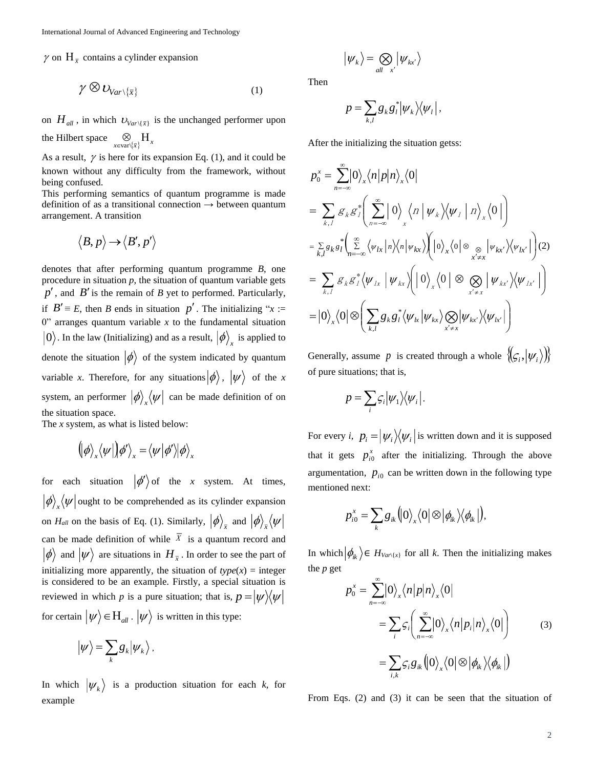$\gamma$  on  $H_{\bar{x}}$  contains a cylinder expansion

$$
\gamma \otimes \mathcal{U}_{\text{Var}\setminus\{\bar{x}\}} \tag{1}
$$

on  $H_{all}$ , in which  $U_{Var\setminus{\{\bar{x}\}}}$  is the unchanged performer upon the Hilbert space  $\bigotimes_{x \in \text{var}\setminus{\{\overline{x}\}}} H_x$ 

As a result,  $\gamma$  is here for its expansion Eq. (1), and it could be known without any difficulty from the framework, without being confused.

This performing semantics of quantum programme is made definition of as a transitional connection  $\rightarrow$  between quantum arrangement. A transition

$$
\big \! \to \! \big< B',p' \big>
$$

denotes that after performing quantum programme *B*, one procedure in situation  $p$ , the situation of quantum variable gets  $p'$ , and  $B'$  is the remain of  $B$  yet to performed. Particularly, if  $B' \equiv E$ , then *B* ends in situation  $p'$ . The initializing "*x* := 0" arranges quantum variable  $x$  to the fundamental situation 0). In the law (Initializing) and as a result,  $\ket{\phi}_x$  is applied to denote the situation  $|\phi\rangle$  of the system indicated by quantum variable *x*. Therefore, for any situations  $|\phi\rangle$ ,  $|\psi\rangle$  of the *x* system, an performer  $|\phi\rangle_x\langle\psi|$  can be made definition of on the situation space.

The *x* system, as what is listed below:

$$
(\!\mid\!\!\rho\rangle_{_X}\!\!\left\langle\psi\right|\!\!\right)\!/\!\!\rho'\rangle_{_X}\!=\!\left\langle\psi\right|\!\!\left\langle\phi'\right|\!\!\right/\!\!\rho\rangle_{_X}
$$

for each situation  $\ket{\phi'}$  of the *x* system. At times,  $\phi$ <sub>x</sub> $\langle \psi |$  ought to be comprehended as its cylinder expansion on  $H_{all}$  on the basis of Eq. (1). Similarly,  $|\phi\rangle_{\bar{x}}$  and  $|\phi\rangle_{\bar{x}}\langle\psi\rangle$ can be made definition of while  $X$  is a quantum record and  $\phi$  and  $|\psi\rangle$  are situations in  $H_{\bar{x}}$ . In order to see the part of initializing more apparently, the situation of  $type(x) = integer$ is considered to be an example. Firstly, a special situation is reviewed in which p is a pure situation; that is,  $p = |\psi\rangle\langle\psi|$ for certain  $\ket{\psi}{\in}H_{\mathit{all}}$  .  $\ket{\psi}$  is written in this type:

$$
|\psi\rangle = \sum_k g_k | \psi_k\rangle.
$$

In which  $|\psi_k\rangle$  is a production situation for each *k*, for example

$$
\left| \psi_{k} \right\rangle = \bigotimes_{all \ x^{'}} \left| \psi_{kx^{'}} \right\rangle
$$

Then

$$
p=\sum_{k,l}g_kg_l^*|\psi_k\rangle\langle\psi_l|,
$$

After the initializing the situation getss:

$$
p_{0}^{x} = \sum_{n=-\infty}^{\infty} |0\rangle_{x} \langle n|p|n\rangle_{x} \langle 0|
$$
  
\n
$$
= \sum_{k,1} g_{k} g_{1}^{*} \left( \sum_{n=-\infty}^{\infty} |0\rangle_{x} \langle n| \psi_{k} \rangle \langle \psi_{1} |n\rangle_{x} \langle 0| \right)
$$
  
\n
$$
= \sum_{k,l} g_{k} g_{l}^{*} \left( \sum_{n=-\infty}^{\infty} \langle \psi_{lx} | n \rangle \langle n| \psi_{kx} \rangle \right) \left( |0\rangle_{x} \langle 0| \otimes \bigotimes_{x' \neq x} |\psi_{kx'} \rangle \langle \psi_{lx'}| \right) (2)
$$
  
\n
$$
= \sum_{k,1} g_{k} g_{1}^{*} \langle \psi_{lx} | \psi_{kx} \rangle \left( |0\rangle_{x} \langle 0| \otimes \bigotimes_{x' \neq x} |\psi_{kx'} \rangle \langle \psi_{lx'}| \right)
$$
  
\n
$$
= |0\rangle_{x} \langle 0| \otimes \left( \sum_{k,l} g_{k} g_{l}^{*} \langle \psi_{lx} | \psi_{kx} \rangle \bigotimes_{x' \neq x} |\psi_{kx'} \rangle \langle \psi_{lx'}| \right)
$$

Generally, assume p is created through a whole  $\langle \mathcal{L}_i, | \psi_i \rangle \rangle$ of pure situations; that is,

$$
p = \sum_i \varsigma_i |\psi_1\rangle\langle\psi_i|.
$$

For every *i*,  $p_i = |\psi_i\rangle\langle\psi_i|$  is written down and it is supposed that it gets  $p_{i0}^x$  after the initializing. Through the above argumentation,  $p_{i0}$  can be written down in the following type mentioned next:

$$
p_{i0}^{x} = \sum_{k} g_{ik} \big( 0 \big)_{x} \big\langle 0 \big| \otimes \big| \phi_{ik} \big\rangle \big\langle \phi_{ik} \big| \big),
$$

In which  $|\phi_{ik}\rangle \in H_{Var\setminus\{x\}}$  for all *k*. Then the initializing makes the *p* get

$$
p_0^x = \sum_{n=-\infty}^{\infty} |0\rangle_x \langle n|p|n\rangle_x \langle 0|
$$
  
=  $\sum_i \varsigma_i \Biggl(\sum_{n=-\infty}^{\infty} |0\rangle_x \langle n|p_i|n\rangle_x \langle 0| \Biggr)$  (3)  
=  $\sum_{i,k} \varsigma_i g_{ik} (|0\rangle_x \langle 0| \otimes |\phi_{ik}\rangle \langle \phi_{ik}|)$ 

From Eqs. (2) and (3) it can be seen that the situation of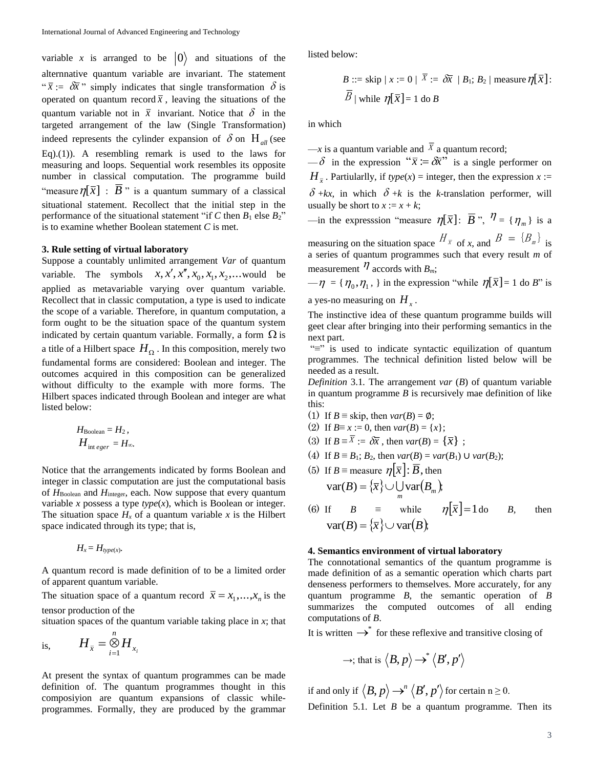variable x is arranged to be  $|0\rangle$  and situations of the alternnative quantum variable are invariant. The statement " $\bar{x}$  :=  $\delta \bar{x}$ " simply indicates that single transformation  $\delta$  is operated on quantum record  $\bar{x}$ , leaving the situations of the quantum variable not in  $\bar{x}$  invariant. Notice that  $\delta$  in the targeted arrangement of the law (Single Transformation) indeed represents the cylinder expansion of  $\delta$  on  $H_{all}$  (see Eq).(1)). A resembling remark is used to the laws for measuring and loops. Sequential work resembles its opposite number in classical computation. The programme build "measure  $\eta[\bar{x}]$  : *B* " is a quantum summary of a classical situational statement. Recollect that the initial step in the performance of the situational statement "if  $C$  then  $B_1$  else  $B_2$ " is to examine whether Boolean statement *C* is met.

#### **3. Rule setting of virtual laboratory**

Suppose a countably unlimited arrangement *Var* of quantum variable. The symbols  $x, x', x'', x_0, x_1, x_2, ...$  would be applied as metavariable varying over quantum variable. Recollect that in classic computation, a type is used to indicate the scope of a variable. Therefore, in quantum computation, a form ought to be the situation space of the quantum system indicated by certain quantum variable. Formally, a form  $\Omega$  is a title of a Hilbert space  $H_{\Omega}$ . In this composition, merely two fundamental forms are considered: Boolean and integer. The outcomes acquired in this composition can be generalized without difficulty to the example with more forms. The Hilbert spaces indicated through Boolean and integer are what listed below:

$$
H_{\text{Boolean}} = H_2,
$$
  

$$
H_{\text{int }e
$$

$$
H_{\text{int }e
$$

Notice that the arrangements indicated by forms Boolean and integer in classic computation are just the computational basis of  $H_{\text{Boolean}}$  and  $H_{\text{integer}}$ , each. Now suppose that every quantum variable *x* possess a type  $type(x)$ , which is Boolean or integer. The situation space  $H_x$  of a quantum variable x is the Hilbert space indicated through its type; that is,

$$
H_x = H_{type(x)}.
$$

A quantum record is made definition of to be a limited order of apparent quantum variable.

The situation space of a quantum record  $\bar{x} = x_1,...,x_n$  is the tensor production of the

situation spaces of the quantum variable taking place in *x*; that

is, 
$$
H_{\bar{x}} = \bigotimes_{i=1}^{n} H_{x_i}
$$

At present the syntax of quantum programmes can be made definition of. The quantum programmes thought in this composiyion are quantum expansions of classic whileprogrammes. Formally, they are produced by the grammar

listed below:

B ::= skip | x := 0 | 
$$
\overline{X}
$$
 :=  $\delta \overline{x}$  | B<sub>1</sub>; B<sub>2</sub> | measure  $\eta[\overline{x}]$ :  
\n $\overline{B}$  | while  $\eta[\overline{x}] = 1$  do B

in which

 $-x$  is a quantum variable and  $X$  a quantum record;

 $-\delta$  in the expression " $\bar{x} = \delta \bar{x}$ " is a single performer on  $H_{\overline{x}}$ . Partiularlly, if *type*(*x*) = integer, then the expression *x* :=  $\delta$ +kx, in which  $\delta$ +k is the k-translation performer, will usually be short to  $x := x + k$ ;

 $\Box$  is a  $\Box$  is a  $\Box$  *measure*  $\eta[\bar{x}]$ *:*  $\bar{B}$  ",  $\eta' = {\eta_m}$  is a measuring on the situation space  $H_{\overline{x}}$  of *x*, and  $B = {B_m}$  is

a series of quantum programmes such that every result *m* of measurement  $\eta$  accords with  $B_m$ ;

 $-\eta = {\eta_0, \eta_1}$ , in the expression "while  $\eta[\bar{x}] = 1$  do *B*" is a yes-no measuring on *H<sup>x</sup>* .

The instinctive idea of these quantum programme builds will geet clear after bringing into their performing semantics in the next part.

"≡" is used to indicate syntactic equilization of quantum programmes. The technical definition listed below will be needed as a result.

*Definition* 3.1*.* The arrangement *var* (*B*) of quantum variable in quantum programme  $B$  is recursively mae definition of like this:

- (1) If  $B \equiv$  skip, then  $var(B) = \emptyset$ ;
- (2) If  $B \equiv x := 0$ , then  $var(B) = \{x\}$ ;
- (3) If  $B \equiv X := \delta \overline{x}$ , then  $var(B) = {\overline{x}}$ ;
- (4) If  $B = B_1$ ;  $B_2$ , then  $var(B) = var(B_1) \cup var(B_2)$ ;
- (5) If  $B \equiv$  measure  $\eta[\bar{x}]$ :  $\bar{B}$ , then  $var(B) = {\overline{x}} \cup \bigcup_{m} var(B_m)$ ;

(6) If 
$$
B = \text{while } \eta[\bar{x}] = 1 \text{ do } B
$$
, then  
\n
$$
\text{var}(B) = {\bar{x}} \cup \text{var}(B),
$$

## **4. Semantics environment of virtual laboratory**

The connotational semantics of the quantum programme is made definition of as a semantic operation which charts part denseness performers to themselves. More accurately, for any quantum programme *B*, the semantic operation of *B* summarizes the computed outcomes of all ending computations of *B*.

It is written  $\rightarrow^*$  for these reflexive and transitive closing of

$$
\rightarrow;\text{that is }\left\langle B,p\right\rangle \rightarrow^*\left\langle B',p'\right\rangle
$$

if and only if  $\langle B, p \rangle \rightarrow^n \langle B', p' \rangle$  for certain n  $\geq$  0. Definition 5.1. Let *B* be a quantum programme. Then its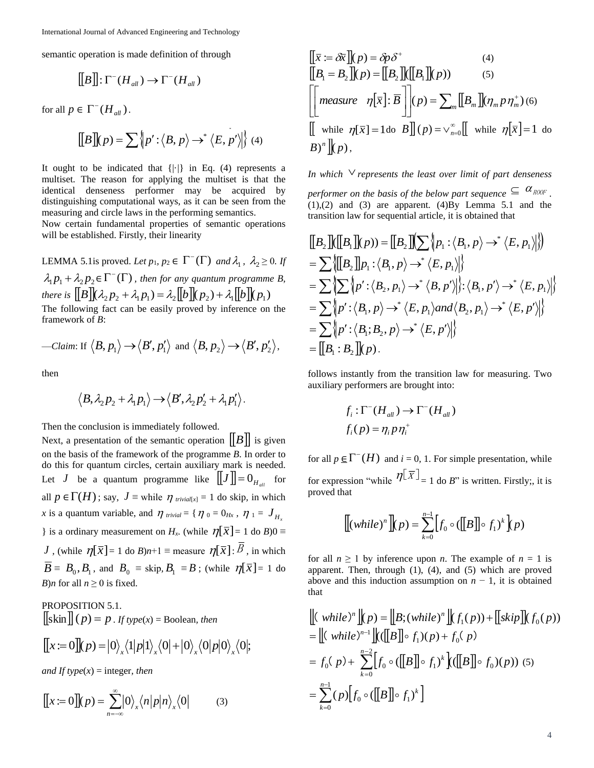semantic operation is made definition of through

$$
\llbracket B \rrbracket : \Gamma^-(H_{\text{all}}) \to \Gamma^-(H_{\text{all}})
$$

for all  $p \in \Gamma^{-}(H_{all})$ .

$$
\llbracket B \rrbracket (p) = \sum \left\{ p' : \left\langle B, p \right\rangle \to^* \left\langle E, p' \right\rangle \middle| \right\} (4)
$$

It ought to be indicated that  $\{|\cdot|\}$  in Eq. (4) represents a multiset. The reason for applying the multiset is that the identical denseness performer may be acquired by distinguishing computational ways, as it can be seen from the measuring and circle laws in the performing semantics.

Now certain fundamental properties of semantic operations will be established. Firstly, their linearity

LEMMA 5.1 is proved. Let  $p_1, p_2 \in \Gamma^-(\Gamma)$  and  $\lambda_1, \lambda_2 \geq 0$ . If  $\lambda_1 p_1 + \lambda_2 p_2 \in \Gamma^{-}(\Gamma)$ , then for any quantum programme B, *there is*  $[[B]](\lambda_2 p_2 + \lambda_1 p_1) = \lambda_2 [[b]](p_2) + \lambda_1 [[b]](p_1)$ The following fact can be easily proved by inference on the framework of *B*:

—Claim: If 
$$
\langle B, p_1 \rangle \rightarrow \langle B', p'_1 \rangle
$$
 and  $\langle B, p_2 \rangle \rightarrow \langle B', p'_2 \rangle$ ,

then

$$
\langle B, \lambda_2 p_2 + \lambda_1 p_1 \rangle \rightarrow \langle B', \lambda_2 p_2' + \lambda_1 p_1' \rangle.
$$

Then the conclusion is immediately followed.

Next, a presentation of the semantic operation  $[[B]]$  is given on the basis of the framework of the programme *B*. In order to do this for quantum circles, certain auxiliary mark is needed. Let *J* be a quantum programme like  $[[J]] = 0$ <sub>*H<sub>all</sub>*</sub> for all  $p \in \Gamma(H)$ ; say,  $J \equiv$  while  $\eta$  *trivial*[*x*] = 1 do skip, in which *x* is a quantum variable, and  $\eta$  *trivial* = { $\eta$  *o* = 0*Hx*,  $\eta$  *i* =  $J$ <sub>*H<sub>x</sub>*</sub> } is a ordinary measurement on *H<sub>x</sub>*. (while  $\eta[\bar{x}] = 1$  do *B*)0 ≡ *J* , (while  $\eta[\bar{x}] = 1$  do *B*) $n+1 \equiv$  measure  $\eta[\bar{x}]\colon B$  , in which  $B \equiv B_0, B_1$ , and  $B_0 \equiv$  skip,  $B_1 \equiv B$ ; (while  $\eta[\bar{x}] = 1$  do *B*)*n* for all  $n \ge 0$  is fixed. ugh<br>  $\begin{aligned}\n\begin{bmatrix}\n\overline{x} & \overline{\phantom{x}} & \overline{\phantom{x}} \\
\overline{\phantom{x}} & \overline{\phantom{x}} & \overline{\phantom{x}} \\
\overline{\phantom{x}} & \overline{\phantom{x}} & \overline{\phantom{x}} \\
\overline{\phantom{x}} & \overline{\phantom{x}} & \overline{\phantom{x}} \\
\overline{\phantom{x}} & \overline{\phantom{x}} & \overline{\phantom{x}} \\
\overline{\phantom{x}} & \overline{\phantom{x}} & \overline{\phantom{x}} \\
\overline{\phantom{x}} & \overline{\phantom{x}} & \overline{\phantom{x}} \\
\overline{\phantom{x}} & \overline{\phantom{x$ 

PROPOSITION 5.1.  $\left[\left\lceil \sin \left( p \right) \right\rceil = p$ . *If type*(*x*) = Boolean, then

$$
[[x:=0]](p) = |0\rangle_x \langle 1|p|1\rangle_x \langle 0| + |0\rangle_x \langle 0|p|0\rangle_x \langle 0|;
$$

*and If type* $(x)$  = integer*, then* 

$$
[[x := 0]](p) = \sum_{n = -\infty}^{\infty} |0\rangle_{x} \langle n|p|n\rangle_{x} \langle 0|
$$
 (3)

$$
[[\overline{x} := \delta \overline{x}]](p) = \delta p \delta^{+} \qquad (4)
$$
  
\n
$$
[[B_{1} = B_{2}]](p) = [[B_{2}]]([[B_{1}]](p)) \qquad (5)
$$
  
\n
$$
\left[\begin{bmatrix} \text{measure} & \eta[\overline{x}]; \overline{B} \end{bmatrix} \right](p) = \sum_{m} [[B_{m}]](\eta_{m} p \eta_{m}^{+}) \qquad (6)
$$
  
\n
$$
[[ \text{ while } \eta[\overline{x}] = 1 \text{ do } B]](p) = \sqrt{\gamma} \Big[ [\text{ while } \eta[\overline{x}] = 1 \text{ do } B \Big]^{n}
$$

In which  $\vee$  represents the least over limit of part denseness performer on the basis of the below part sequence  $\subseteq$   $\alpha_{\text{ROOF}}$ .  $(1)$ , $(2)$  and  $(3)$  are apparent.  $(4)$ By Lemma 5.1 and the transition law for sequential article, it is obtained that

$$
\begin{aligned}\n\left[ \begin{matrix} B_2 \end{matrix} \right] \left\langle \left[ \begin{matrix} B_1 \end{matrix} \right] \left\langle p \right \rangle \right\rangle &= \left[ \begin{matrix} B_2 \end{matrix} \right] \left\langle \sum \left\langle p_1 : \left\langle B_1, p \right\rangle \rightarrow^* \left\langle E, p_1 \right\rangle \right| \right\rangle \\
&= \sum \left\langle \left[ \begin{matrix} B_2 \end{matrix} \right] \right| p_1 : \left\langle B_1, p \right\rangle \rightarrow^* \left\langle E, p_1 \right\rangle \right| \\
&= \sum \left\langle \sum \left\langle p' : \left\langle B_2, p_1 \right\rangle \rightarrow^* \left\langle B, p' \right\rangle \right| : \left\langle B_1, p' \right\rangle \rightarrow^* \left\langle E, p_1 \right\rangle \right| \right\rangle \\
&= \sum \left\langle p' : \left\langle B_1, p \right\rangle \rightarrow^* \left\langle E, p_1 \right\rangle \text{and} \left\langle B_2, p_1 \right\rangle \rightarrow^* \left\langle E, p' \right\rangle \right| \right\rangle \\
&= \sum \left\langle p' : \left\langle B_1; B_2, p \right\rangle \rightarrow^* \left\langle E, p' \right\rangle \right| \\
&= \left[ \begin{matrix} B_1 : B_2 \end{matrix} \right] \left\langle p \right\rangle.\n\end{aligned}
$$

follows instantly from the transition law for measuring. Two auxiliary performers are brought into:

$$
f_i : \Gamma^-(H_{all}) \to \Gamma^-(H_{all})
$$
  

$$
f_i(p) = \eta_i p \eta_i^+
$$

for all  $p \in \Gamma^{-}(H)$  and  $i = 0, 1$ . For simple presentation, while for expression "while  $\eta[\bar{x}]_{=1}$  do *B*" is written. Firstly;, it is proved that

$$
\llbracket (\text{while})^n \rrbracket (p) = \sum_{k=0}^{n-1} \Big[ f_0 \circ (\llbracket B \rrbracket \circ f_1)^k \Big] (p)
$$

for all  $n \ge 1$  by inference upon *n*. The example of  $n = 1$  is apparent. Then, through (1), (4), and (5) which are proved above and this induction assumption on  $n - 1$ , it is obtained that

$$
\begin{aligned} &\left[ (\text{ while})^n \right] \mid p) = \left[ B; (\text{while})^n \right] \mid f_1(p)) + \left[ [\text{skip}] \right] \mid f_0(p)) \\ &= \left[ (\text{ while})^{n-1} \right] \mid (\left[ B \right] \mid \circ f_1)(p) + f_0(p) \\ &= f_0(p) + \sum_{k=0}^{n-2} \left[ f_0 \circ (\left[ B \right] \mid \circ f_1)^k \right] \mid (\left[ B \right] \mid \circ f_0)(p)) \quad (5) \\ &= \sum_{k=0}^{n-1} (p) \left[ f_0 \circ (\left[ B \right] \mid \circ f_1)^k \right] \end{aligned}
$$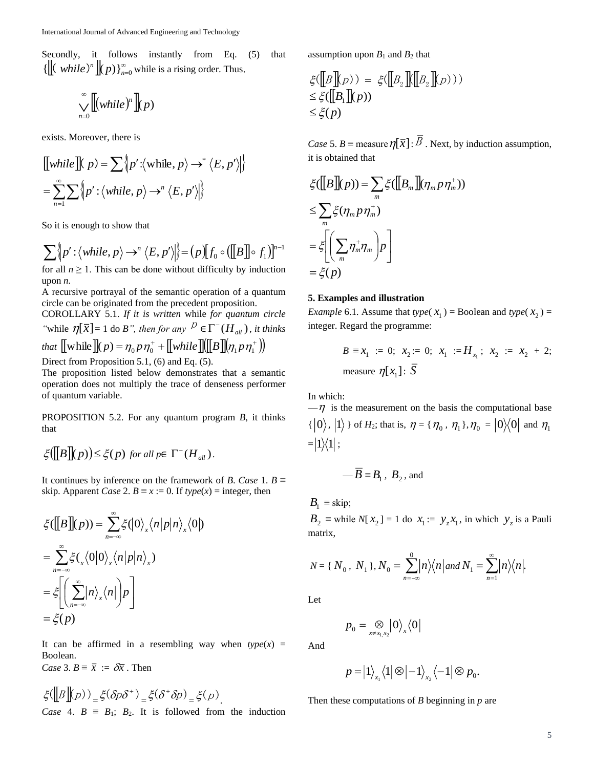Secondly, it follows instantly from Eq. (5) that  $\{ [(while)^n \](p) \}_{n=0}^{\infty}$  while is a rising order. Thus,

$$
\bigvee_{n=0}^{\infty} [[(while)^n]](p)
$$

exists. Moreover, there is

$$
\llbracket while \rrbracket \llbracket p \rrbracket \ge \sum \{ p' : \langle \text{while}, p \rangle \to^* \langle E, p' \rangle \} \} \\
= \sum_{n=1}^{\infty} \sum \{ p' : \langle \text{while}, p \rangle \to^* \langle E, p' \rangle \} \}
$$

So it is enough to show that

$$
\sum \left\{ p' : \left\langle \text{while}, p \right\rangle \rightarrow^n \left\langle E, p' \right\rangle \middle| \right\} = (p)[f_0 \circ (\llbracket B \rrbracket \circ f_1)]^{n-1}
$$

for all  $n \geq 1$ . This can be done without difficulty by induction upon *n.*

A recursive portrayal of the semantic operation of a quantum circle can be originated from the precedent proposition.

COROLLARY 5.1. *If it is written* while *for quantum circle* "while  $\eta[\bar{x}] = 1$  do *B*", then for any  $P \in \Gamma^{-}(H_{all})$ , it thinks *that*  $\left[ \left[ \text{while } \right] \right] \! \left( p \right) = \eta_0 p \, \eta_0^+ + \left[ \left[ \text{while } \right] \! \left( \left[ \left[ B \right] \right] \! \left( \eta_1 p \, \eta_1^+ \right) \right)$ 

Direct from Proposition 5.1, (6) and Eq. (5).

The proposition listed below demonstrates that a semantic operation does not multiply the trace of denseness performer of quantum variable.

PROPOSITION 5.2. For any quantum program *B*, it thinks that

$$
\xi([B](p)) \le \xi(p) \text{ for all } p \in \Gamma^-(H_{all}).
$$

It continues by inference on the framework of *B*. *Case* 1. *B* ≡ skip. Apparent *Case* 2.  $B \equiv x := 0$ . If  $type(x) =$  integer, then

$$
\xi([B](p)) = \sum_{n=-\infty}^{\infty} \xi(0)_{x} \langle n|p|n\rangle_{x}\langle 0|)
$$
  
= 
$$
\sum_{n=-\infty}^{\infty} \xi(\chi(0|0)_{x} \langle n|p|n\rangle_{x})
$$
  
= 
$$
\xi\left[\sum_{n=-\infty}^{\infty} |n\rangle_{x}\langle n|p| \rangle p\right]
$$
  
= 
$$
\xi(p)
$$

It can be affirmed in a resembling way when  $type(x) =$ Boolean. *Case* 3.  $B \equiv \overline{x} := \delta \overline{x}$ . Then

$$
\xi(\llbracket B \rrbracket(p)) \leq \xi(\delta p \delta^+) \leq \xi(\delta^+ \delta p) \leq \xi(p)
$$
  
Case 4.  $B \equiv B_1$ ;  $B_2$ . It is followed from the induction

assumption upon  $B_1$  and  $B_2$  that

$$
\xi([B][p]) = \xi([B_2][[B_2][p]))
$$
  
\n
$$
\leq \xi([B_1][p])
$$
  
\n
$$
\leq \xi(p)
$$

*Case* 5. *B* = measure  $\eta[\bar{x}]$ : *B*. Next, by induction assumption, it is obtained that

$$
\xi([B](p)) = \sum_{m} \xi([B_{m}](\eta_{m} p \eta_{m}^{+}))
$$
  
\n
$$
\leq \sum_{m} \xi(\eta_{m} p \eta_{m}^{+})
$$
  
\n
$$
= \xi \left[ \sum_{m} \eta_{m}^{+} \eta_{m} \right] p
$$
  
\n
$$
= \xi(p)
$$

## **5. Examples and illustration**

*Example* 6.1. Assume that *type*( $x_1$ ) = Boolean and *type*( $x_2$ ) = integer. Regard the programme:

$$
B \equiv x_1 := 0; \ x_2 := 0; \ x_1 := H_{x_1}; \ x_2 := x_2 + 2; \text{ measure } \eta[x_1] : \overline{S}
$$

In which:

 $-\eta$  is the measurement on the basis the computational base  $\{ |0\rangle, |1\rangle \}$  of  $H_2$ ; that is,  $\eta = {\eta_0, \eta_1}, \eta_0 = |0\rangle\langle 0|$  and  $\eta_1$  $=$   $|1\rangle\langle 1|$  ;

$$
\overline{B} \equiv B_1, B_2, \text{and}
$$

 $B_1$  ≡ skip;

 $B_2 \equiv$  while  $N[X_2] = 1$  do  $x_1 := y_z x_1$ , in which  $y_z$  is a Pauli matrix,

$$
N = \{ N_0, N_1 \}, N_0 = \sum_{n=-\infty}^{0} \left| n \right\rangle \left\langle n \right| \text{ and } N_1 = \sum_{n=1}^{\infty} \left| n \right\rangle \left\langle n \right|.
$$

Let

$$
p_0 = \bigotimes_{x \neq x_1, x_2} |0\rangle_x \langle 0|
$$

And

$$
p = |1\rangle_{x_1}\langle 1| \otimes |-1\rangle_{x_2}\langle -1| \otimes p_0.
$$

Then these computations of *B* beginning in *p* are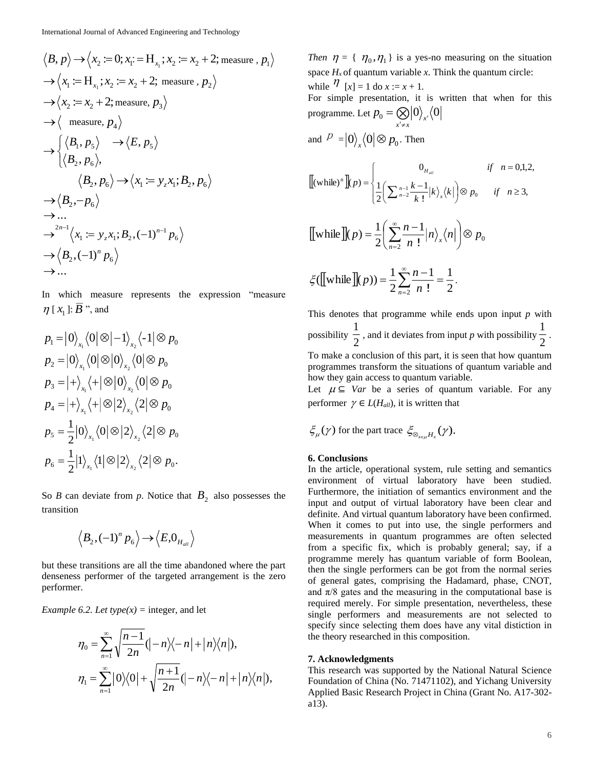$$
\langle B, p \rangle \rightarrow \langle x_2 := 0; x_1 := H_{x_1}; x_2 := x_2 + 2; \text{ measure}, p_1 \rangle
$$
  
\n
$$
\rightarrow \langle x_1 := H_{x_1}; x_2 := x_2 + 2; \text{ measure}, p_2 \rangle
$$
  
\n
$$
\rightarrow \langle x_2 := x_2 + 2; \text{ measure}, p_3 \rangle
$$
  
\n
$$
\rightarrow \langle \text{ measure}, p_4 \rangle
$$
  
\n
$$
\rightarrow \langle \langle B_1, p_5 \rangle \rightarrow \langle E, p_5 \rangle
$$
  
\n
$$
\langle B_2, p_6 \rangle, \langle B_2, p_6 \rangle \rightarrow \langle x_1 := y_z x_1; B_2, p_6 \rangle
$$
  
\n
$$
\rightarrow \langle B_2, -p_6 \rangle
$$
  
\n
$$
\rightarrow \dots
$$
  
\n
$$
\rightarrow^{2n-1} \langle x_1 := y_z x_1; B_2, (-1)^{n-1} p_6 \rangle
$$
  
\n
$$
\rightarrow \langle B_2, (-1)^n p_6 \rangle
$$
  
\n
$$
\rightarrow \dots
$$

In which measure represents the expression "measure  $\eta$  [ $x_1$ ]: *B*<sup>3</sup>, and

$$
p_1 = |0\rangle_{x_1} \langle 0| \otimes |-1\rangle_{x_2} \langle -1| \otimes p_0
$$
  
\n
$$
p_2 = |0\rangle_{x_1} \langle 0| \otimes |0\rangle_{x_2} \langle 0| \otimes p_0
$$
  
\n
$$
p_3 = |+\rangle_{x_1} \langle +| \otimes |0\rangle_{x_2} \langle 0| \otimes p_0
$$
  
\n
$$
p_4 = |+\rangle_{x_1} \langle +| \otimes |2\rangle_{x_2} \langle 2| \otimes p_0
$$
  
\n
$$
p_5 = \frac{1}{2} |0\rangle_{x_1} \langle 0| \otimes |2\rangle_{x_2} \langle 2| \otimes p_0
$$
  
\n
$$
p_6 = \frac{1}{2} |1\rangle_{x_1} \langle 1| \otimes |2\rangle_{x_2} \langle 2| \otimes p_0.
$$

So *B* can deviate from *p*. Notice that  $B_2$  also possesses the transition

$$
\left\langle B_2, (-1)^n p_6 \right\rangle \rightarrow \left\langle E, 0_{H_{all}} \right\rangle
$$

but these transitions are all the time abandoned where the part denseness performer of the targeted arrangement is the zero performer.

*Example 6.2. Let type* $(x)$  = integer, and let

$$
\eta_0 = \sum_{n=1}^{\infty} \sqrt{\frac{n-1}{2n}} (|-n \rangle \langle -n| + |n \rangle \langle n|),
$$
  

$$
\eta_1 = \sum_{n=1}^{\infty} |0 \rangle \langle 0| + \sqrt{\frac{n+1}{2n}} (|-n \rangle \langle -n| + |n \rangle \langle n|),
$$

*Then*  $\eta = \{\eta_0, \eta_1\}$  is a yes-no measuring on the situation space  $H_x$  of quantum variable  $x$ . Think the quantum circle: while  $\eta$  [x] = 1 do x := x + 1. For simple presentation, it is written that when for this programme. Let  $p_0 = \bigotimes_{x' \neq x} \! |0\rangle_{x'} \langle 0 \rangle$  $p_0 = \bigotimes_{x' \neq x} {\vert 0 \rangle}_{x'}$  $=\bigotimes$ and  $P = |0\rangle_{\mathbf{x}}\langle 0 | \otimes p_{0}$ . Then

$$
\llbracket (\text{while})^n \rrbracket (p) = \begin{cases} 0_{H_{all}} & \text{if } n = 0,1,2, \\ \frac{1}{2} \left( \sum_{n=2}^{n-1} \frac{k-1}{k!} |k\rangle_{x} \langle k| \right) \otimes p_0 & \text{if } n \ge 3, \end{cases}
$$

[[while]](*p*) = 
$$
\frac{1}{2} \left( \sum_{n=2}^{\infty} \frac{n-1}{n!} |n\rangle_{x} \langle n| \right) \otimes p_{0}
$$

$$
\xi(\llbracket \text{while } \rrbracket(p)) = \frac{1}{2} \sum_{n=2}^{\infty} \frac{n-1}{n!} = \frac{1}{2}.
$$

This denotes that programme while ends upon input *p* with possibility  $\frac{1}{2}$  $\frac{1}{2}$  , and it deviates from input *p* with possibility  $\frac{1}{2}$  $\frac{1}{2}$ . To make a conclusion of this part, it is seen that how quantum programmes transform the situations of quantum variable and how they gain access to quantum variable.

Let  $\mu \subseteq Var$  be a series of quantum variable. For any performer  $\gamma \in L(H_{all})$ , it is written that

$$
\xi_{\mu}(\gamma)
$$
 for the part trace  $\xi_{\otimes_{x \in \mu} H_x}(\gamma)$ .

## **6. Conclusions**

In the article, operational system, rule setting and semantics environment of virtual laboratory have been studied. Furthermore, the initiation of semantics environment and the input and output of virtual laboratory have been clear and definite. And virtual quantum laboratory have been confirmed. When it comes to put into use, the single performers and measurements in quantum programmes are often selected from a specific fix, which is probably general; say, if a programme merely has quantum variable of form Boolean, then the single performers can be got from the normal series of general gates, comprising the Hadamard, phase, CNOT, and  $\pi/8$  gates and the measuring in the computational base is required merely. For simple presentation, nevertheless, these single performers and measurements are not selected to specify since selecting them does have any vital distiction in the theory researched in this composition.

#### **7. Acknowledgments**

This research was supported by the National Natural Science Foundation of China (No. 71471102), and Yichang University Applied Basic Research Project in China (Grant No. A17-302 a13).